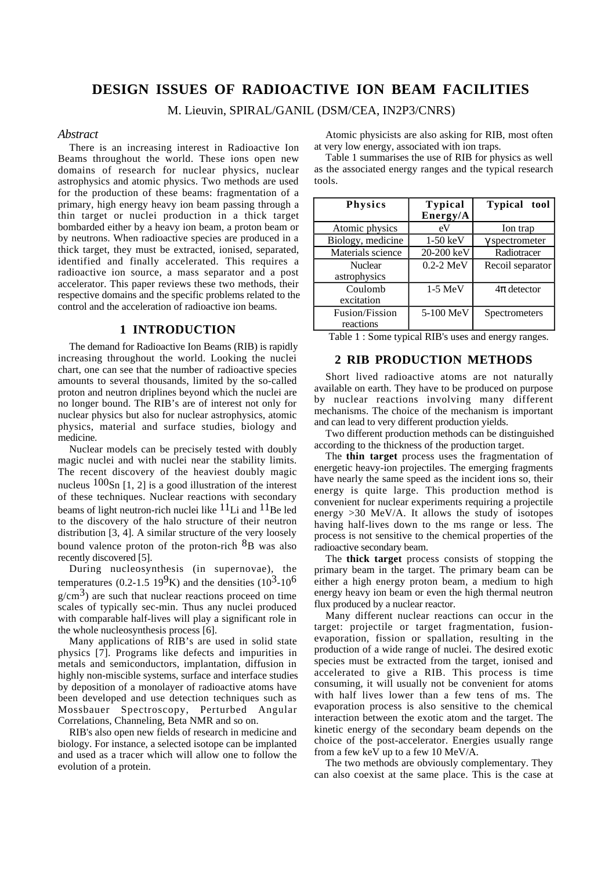# **DESIGN ISSUES OF RADIOACTIVE ION BEAM FACILITIES**

M. Lieuvin, SPIRAL/GANIL (DSM/CEA, IN2P3/CNRS)

### *Abstract*

There is an increasing interest in Radioactive Ion Beams throughout the world. These ions open new domains of research for nuclear physics, nuclear astrophysics and atomic physics. Two methods are used for the production of these beams: fragmentation of a primary, high energy heavy ion beam passing through a thin target or nuclei production in a thick target bombarded either by a heavy ion beam, a proton beam or by neutrons. When radioactive species are produced in a thick target, they must be extracted, ionised, separated, identified and finally accelerated. This requires a radioactive ion source, a mass separator and a post accelerator. This paper reviews these two methods, their respective domains and the specific problems related to the control and the acceleration of radioactive ion beams.

# **1 INTRODUCTION**

The demand for Radioactive Ion Beams (RIB) is rapidly increasing throughout the world. Looking the nuclei chart, one can see that the number of radioactive species amounts to several thousands, limited by the so-called proton and neutron driplines beyond which the nuclei are no longer bound. The RIB's are of interest not only for nuclear physics but also for nuclear astrophysics, atomic physics, material and surface studies, biology and medicine.

Nuclear models can be precisely tested with doubly magic nuclei and with nuclei near the stability limits. The recent discovery of the heaviest doubly magic nucleus  $100$ Sn [1, 2] is a good illustration of the interest of these techniques. Nuclear reactions with secondary beams of light neutron-rich nuclei like  $^{11}$ Li and  $^{11}$ Be led to the discovery of the halo structure of their neutron distribution [3, 4]. A similar structure of the very loosely bound valence proton of the proton-rich  ${}^{8}B$  was also recently discovered [5].

During nucleosynthesis (in supernovae), the temperatures (0.2-1.5 19<sup>9</sup>K) and the densities (10<sup>3</sup>-10<sup>6</sup>)  $g/cm<sup>3</sup>$ ) are such that nuclear reactions proceed on time scales of typically sec-min. Thus any nuclei produced with comparable half-lives will play a significant role in the whole nucleosynthesis process [6].

Many applications of RIB's are used in solid state physics [7]. Programs like defects and impurities in metals and semiconductors, implantation, diffusion in highly non-miscible systems, surface and interface studies by deposition of a monolayer of radioactive atoms have been developed and use detection techniques such as Mossbauer Spectroscopy, Perturbed Angular Correlations, Channeling, Beta NMR and so on.

RIB's also open new fields of research in medicine and biology. For instance, a selected isotope can be implanted and used as a tracer which will allow one to follow the evolution of a protein.

Atomic physicists are also asking for RIB, most often at very low energy, associated with ion traps.

Table 1 summarises the use of RIB for physics as well as the associated energy ranges and the typical research tools.

| Physics                        | <b>Typical</b><br>Energy/A | <b>Typical</b> tool   |
|--------------------------------|----------------------------|-----------------------|
| Atomic physics                 | eV                         | Ion trap              |
| Biology, medicine              | $1-50$ keV                 | $\gamma$ spectrometer |
| Materials science              | 20-200 keV                 | Radiotracer           |
| <b>Nuclear</b><br>astrophysics | 0.2-2 MeV                  | Recoil separator      |
| Coulomb<br>excitation          | $1-5$ MeV                  | $4\pi$ detector       |
| Fusion/Fission<br>reactions    | 5-100 MeV                  | <b>Spectrometers</b>  |

Table 1 : Some typical RIB's uses and energy ranges.

# **2 RIB PRODUCTION METHODS**

Short lived radioactive atoms are not naturally available on earth. They have to be produced on purpose by nuclear reactions involving many different mechanisms. The choice of the mechanism is important and can lead to very different production yields.

Two different production methods can be distinguished according to the thickness of the production target.

The **thin target** process uses the fragmentation of energetic heavy-ion projectiles. The emerging fragments have nearly the same speed as the incident ions so, their energy is quite large. This production method is convenient for nuclear experiments requiring a projectile energy  $>30$  MeV/A. It allows the study of isotopes having half-lives down to the ms range or less. The process is not sensitive to the chemical properties of the radioactive secondary beam.

The **thick target** process consists of stopping the primary beam in the target. The primary beam can be either a high energy proton beam, a medium to high energy heavy ion beam or even the high thermal neutron flux produced by a nuclear reactor.

Many different nuclear reactions can occur in the target: projectile or target fragmentation, fusionevaporation, fission or spallation, resulting in the production of a wide range of nuclei. The desired exotic species must be extracted from the target, ionised and accelerated to give a RIB. This process is time consuming, it will usually not be convenient for atoms with half lives lower than a few tens of ms. The evaporation process is also sensitive to the chemical interaction between the exotic atom and the target. The kinetic energy of the secondary beam depends on the choice of the post-accelerator. Energies usually range from a few keV up to a few 10 MeV/A.

The two methods are obviously complementary. They can also coexist at the same place. This is the case at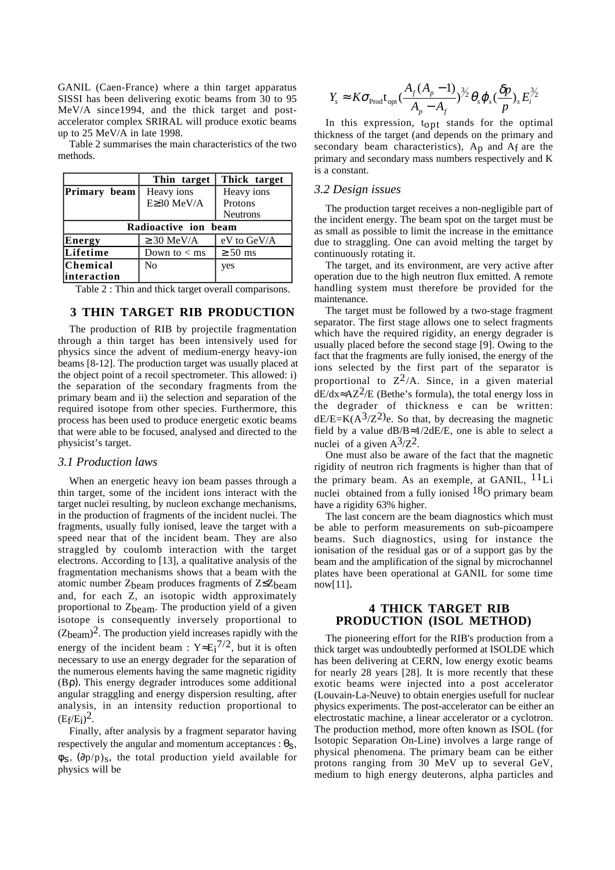GANIL (Caen-France) where a thin target apparatus SISSI has been delivering exotic beams from 30 to 95 MeV/A since1994, and the thick target and postaccelerator complex SRIRAL will produce exotic beams up to 25 MeV/A in late 1998.

Table 2 summarises the main characteristics of the two methods.

|                      | Thin target     | Thick target    |
|----------------------|-----------------|-----------------|
| Primary beam         | Heavy ions      | Heavy ions      |
|                      | E≥30 MeV/A      | Protons         |
|                      |                 | <b>Neutrons</b> |
| Radioactive ion beam |                 |                 |
| Energy               | $\geq$ 30 MeV/A | $eV$ to $GeV/A$ |
| Lifetime             | Down to $<$ ms  | $\geq 50$ ms    |
| <b>Chemical</b>      | No              | yes             |
| linteraction         |                 |                 |

Table 2 : Thin and thick target overall comparisons.

# **3 THIN TARGET RIB PRODUCTION**

The production of RIB by projectile fragmentation through a thin target has been intensively used for physics since the advent of medium-energy heavy-ion beams [8-12]. The production target was usually placed at the object point of a recoil spectrometer. This allowed: i) the separation of the secondary fragments from the primary beam and ii) the selection and separation of the required isotope from other species. Furthermore, this process has been used to produce energetic exotic beams that were able to be focused, analysed and directed to the physicist's target.

#### *3.1 Production laws*

When an energetic heavy ion beam passes through a thin target, some of the incident ions interact with the target nuclei resulting, by nucleon exchange mechanisms, in the production of fragments of the incident nuclei. The fragments, usually fully ionised, leave the target with a speed near that of the incident beam. They are also straggled by coulomb interaction with the target electrons. According to [13], a qualitative analysis of the fragmentation mechanisms shows that a beam with the atomic number  $Z_{beam}$  produces fragments of  $Z \leq Z_{beam}$ and, for each Z, an isotopic width approximately proportional to  $Z_{\text{beam}}$ . The production yield of a given isotope is consequently inversely proportional to  $(Z_{\text{beam}})^2$ . The production yield increases rapidly with the energy of the incident beam :  $Y \approx E_i^{7/2}$ , but it is often necessary to use an energy degrader for the separation of the numerous elements having the same magnetic rigidity (Bρ). This energy degrader introduces some additional angular straggling and energy dispersion resulting, after analysis, in an intensity reduction proportional to  $(E_f/E_i)^2$ .

Finally, after analysis by a fragment separator having respectively the angular and momentum acceptances :  $\theta_s$ ,  $\phi$ <sub>S</sub>, ( $\partial p/p$ )<sub>S</sub>, the total production yield available for physics will be

$$
Y_s \approx K \sigma_{\text{Prod}} t_{\text{opt}} \left( \frac{A_f (A_p - 1)}{A_p - A_f} \right)^{3/2} \theta_s \varphi_s \left( \frac{\delta p}{p} \right)_s E_i^{3/2}
$$

In this expression, t<sub>opt</sub> stands for the optimal thickness of the target (and depends on the primary and secondary beam characteristics),  $A_p$  and  $A_f$  are the primary and secondary mass numbers respectively and K is a constant.

### *3.2 Design issues*

The production target receives a non-negligible part of the incident energy. The beam spot on the target must be as small as possible to limit the increase in the emittance due to straggling. One can avoid melting the target by continuously rotating it.

The target, and its environment, are very active after operation due to the high neutron flux emitted. A remote handling system must therefore be provided for the maintenance.

The target must be followed by a two-stage fragment separator. The first stage allows one to select fragments which have the required rigidity, an energy degrader is usually placed before the second stage [9]. Owing to the fact that the fragments are fully ionised, the energy of the ions selected by the first part of the separator is proportional to  $Z^2/A$ . Since, in a given material dE/dx≈AZ<sup>2</sup>/E (Bethe's formula), the total energy loss in the degrader of thickness e can be written:  $dE/E=K(A^3/Z^2)e$ . So that, by decreasing the magnetic field by a value  $dB/B \approx 1/2dE/E$ , one is able to select a nuclei of a given  $A^3/Z^2$ .

One must also be aware of the fact that the magnetic rigidity of neutron rich fragments is higher than that of the primary beam. As an exemple, at GANIL,  $11Li$ nuclei obtained from a fully ionised  $18<sub>O</sub>$  primary beam have a rigidity 63% higher.

The last concern are the beam diagnostics which must be able to perform measurements on sub-picoampere beams. Such diagnostics, using for instance the ionisation of the residual gas or of a support gas by the beam and the amplification of the signal by microchannel plates have been operational at GANIL for some time now[11].

# **4 THICK TARGET RIB PRODUCTION (ISOL METHOD)**

The pioneering effort for the RIB's production from a thick target was undoubtedly performed at ISOLDE which has been delivering at CERN, low energy exotic beams for nearly 28 years [28]. It is more recently that these exotic beams were injected into a post accelerator (Louvain-La-Neuve) to obtain energies usefull for nuclear physics experiments. The post-accelerator can be either an electrostatic machine, a linear accelerator or a cyclotron. The production method, more often known as ISOL (for Isotopic Separation On-Line) involves a large range of physical phenomena. The primary beam can be either protons ranging from 30 MeV up to several GeV, medium to high energy deuterons, alpha particles and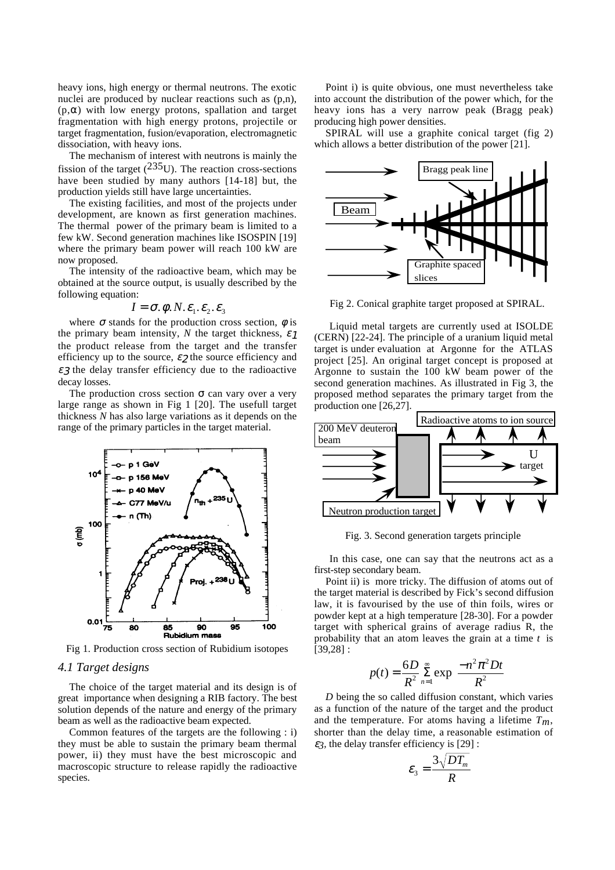heavy ions, high energy or thermal neutrons. The exotic nuclei are produced by nuclear reactions such as (p,n),  $(p, \alpha)$  with low energy protons, spallation and target fragmentation with high energy protons, projectile or target fragmentation, fusion/evaporation, electromagnetic dissociation, with heavy ions.

The mechanism of interest with neutrons is mainly the fission of the target  $(^{235}U)$ . The reaction cross-sections have been studied by many authors [14-18] but, the production yields still have large uncertainties.

The existing facilities, and most of the projects under development, are known as first generation machines. The thermal power of the primary beam is limited to a few kW. Second generation machines like ISOSPIN [19] where the primary beam power will reach 100 kW are now proposed.

The intensity of the radioactive beam, which may be obtained at the source output, is usually described by the following equation:

$$
I = \sigma, \phi, N, \varepsilon_1, \varepsilon_2, \varepsilon_3
$$

where  $\sigma$  stands for the production cross section,  $\phi$  is the primary beam intensity, *N* the target thickness,  $\varepsilon_1$ the product release from the target and the transfer efficiency up to the source,  $\varepsilon_2$  the source efficiency and  $\epsilon$ 3 the delay transfer efficiency due to the radioactive decay losses.

The production cross section  $\sigma$  can vary over a very large range as shown in Fig 1 [20]. The usefull target thickness *N* has also large variations as it depends on the range of the primary particles in the target material.



Fig 1. Production cross section of Rubidium isotopes

### *4.1 Target designs*

The choice of the target material and its design is of great importance when designing a RIB factory. The best solution depends of the nature and energy of the primary beam as well as the radioactive beam expected.

Common features of the targets are the following : i) they must be able to sustain the primary beam thermal power, ii) they must have the best microscopic and macroscopic structure to release rapidly the radioactive species.

Point i) is quite obvious, one must nevertheless take into account the distribution of the power which, for the heavy ions has a very narrow peak (Bragg peak) producing high power densities.

SPIRAL will use a graphite conical target (fig 2) which allows a better distribution of the power [21].



Fig 2. Conical graphite target proposed at SPIRAL.

 Liquid metal targets are currently used at ISOLDE (CERN) [22-24]. The principle of a uranium liquid metal target is under evaluation at Argonne for the ATLAS project [25]. An original target concept is proposed at Argonne to sustain the 100 kW beam power of the second generation machines. As illustrated in Fig 3, the proposed method separates the primary target from the production one [26,27].



Fig. 3. Second generation targets principle

 In this case, one can say that the neutrons act as a first-step secondary beam.

Point ii) is more tricky. The diffusion of atoms out of the target material is described by Fick's second diffusion law, it is favourised by the use of thin foils, wires or powder kept at a high temperature [28-30]. For a powder target with spherical grains of average radius R, the probability that an atom leaves the grain at a time *t* is [39,28] :

$$
p(t) = \frac{6D}{R^2} \sum_{n=1}^{\infty} \exp\left[\frac{-n^2 \pi^2 Dt}{R^2}\right]
$$

*D* being the so called diffusion constant, which varies as a function of the nature of the target and the product and the temperature. For atoms having a lifetime  $T_m$ , shorter than the delay time, a reasonable estimation of  $\varepsilon$ *3*, the delay transfer efficiency is [29] :

$$
\varepsilon_{3}=\frac{3\sqrt{DT_{m}}}{R}
$$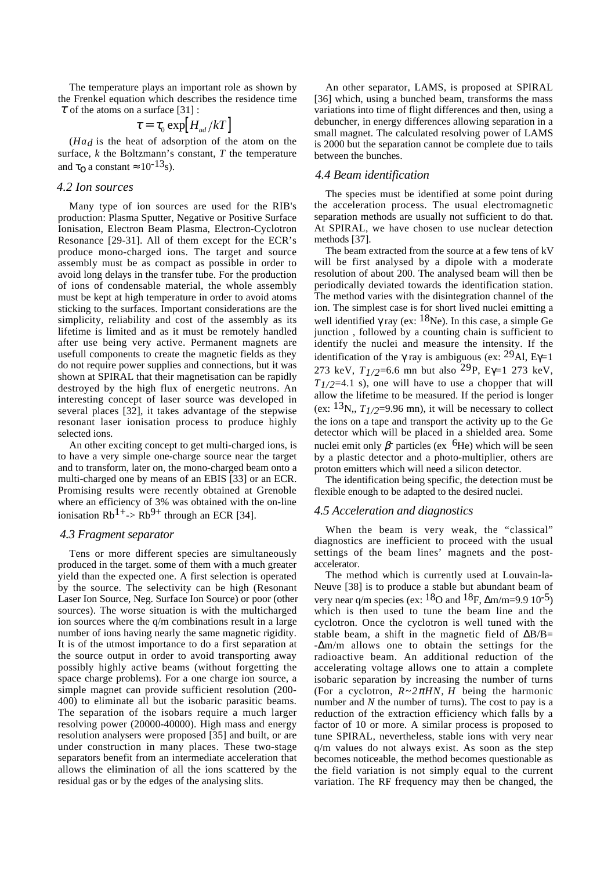The temperature plays an important role as shown by the Frenkel equation which describes the residence time  $\tau$  of the atoms on a surface [31] :

$$
\tau = \tau_0 \exp[H_{ad}/kT]
$$

 $(Ha_d)$  is the heat of adsorption of the atom on the surface, *k* the Boltzmann's constant, *T* the temperature and  $\tau_{\Omega}$  a constant  $\approx 10^{-13}$ s).

# *4.2 Ion sources*

Many type of ion sources are used for the RIB's production: Plasma Sputter, Negative or Positive Surface Ionisation, Electron Beam Plasma, Electron-Cyclotron Resonance [29-31]. All of them except for the ECR's produce mono-charged ions. The target and source assembly must be as compact as possible in order to avoid long delays in the transfer tube. For the production of ions of condensable material, the whole assembly must be kept at high temperature in order to avoid atoms sticking to the surfaces. Important considerations are the simplicity, reliability and cost of the assembly as its lifetime is limited and as it must be remotely handled after use being very active. Permanent magnets are usefull components to create the magnetic fields as they do not require power supplies and connections, but it was shown at SPIRAL that their magnetisation can be rapidly destroyed by the high flux of energetic neutrons. An interesting concept of laser source was developed in several places [32], it takes advantage of the stepwise resonant laser ionisation process to produce highly selected ions.

An other exciting concept to get multi-charged ions, is to have a very simple one-charge source near the target and to transform, later on, the mono-charged beam onto a multi-charged one by means of an EBIS [33] or an ECR. Promising results were recently obtained at Grenoble where an efficiency of 3% was obtained with the on-line ionisation  $Rb^{1+}$ ->  $Rb^{9+}$  through an ECR [34].

#### *4.3 Fragment separator*

Tens or more different species are simultaneously produced in the target. some of them with a much greater yield than the expected one. A first selection is operated by the source. The selectivity can be high (Resonant Laser Ion Source, Neg. Surface Ion Source) or poor (other sources). The worse situation is with the multicharged ion sources where the q/m combinations result in a large number of ions having nearly the same magnetic rigidity. It is of the utmost importance to do a first separation at the source output in order to avoid transporting away possibly highly active beams (without forgetting the space charge problems). For a one charge ion source, a simple magnet can provide sufficient resolution (200- 400) to eliminate all but the isobaric parasitic beams. The separation of the isobars require a much larger resolving power (20000-40000). High mass and energy resolution analysers were proposed [35] and built, or are under construction in many places. These two-stage separators benefit from an intermediate acceleration that allows the elimination of all the ions scattered by the residual gas or by the edges of the analysing slits.

An other separator, LAMS, is proposed at SPIRAL [36] which, using a bunched beam, transforms the mass variations into time of flight differences and then, using a debuncher, in energy differences allowing separation in a small magnet. The calculated resolving power of LAMS is 2000 but the separation cannot be complete due to tails between the bunches.

#### *4.4 Beam identification*

The species must be identified at some point during the acceleration process. The usual electromagnetic separation methods are usually not sufficient to do that. At SPIRAL, we have chosen to use nuclear detection methods [37].

The beam extracted from the source at a few tens of kV will be first analysed by a dipole with a moderate resolution of about 200. The analysed beam will then be periodically deviated towards the identification station. The method varies with the disintegration channel of the ion. The simplest case is for short lived nuclei emitting a well identified  $\gamma$  ray (ex: <sup>18</sup>Ne). In this case, a simple Ge junction , followed by a counting chain is sufficient to identify the nuclei and measure the intensity. If the identification of the  $\gamma$  ray is ambiguous (ex: <sup>29</sup>Al, E<sub> $\gamma$ =1</sub> 273 keV,  $T_{1/2}$ =6.6 mn but also <sup>29</sup>P, E<sub>Y</sub>=1 273 keV, *T1/2*=4.1 s), one will have to use a chopper that will allow the lifetime to be measured. If the period is longer (ex:  $13N$ ,,  $T_{1/2}=9.96$  mn), it will be necessary to collect the ions on a tape and transport the activity up to the Ge detector which will be placed in a shielded area. Some nuclei emit only β<sup>-</sup> particles (ex  $<sup>6</sup>$ He) which will be seen</sup> by a plastic detector and a photo-multiplier, others are proton emitters which will need a silicon detector.

The identification being specific, the detection must be flexible enough to be adapted to the desired nuclei.

#### *4.5 Acceleration and diagnostics*

When the beam is very weak, the "classical" diagnostics are inefficient to proceed with the usual settings of the beam lines' magnets and the postaccelerator.

The method which is currently used at Louvain-la-Neuve [38] is to produce a stable but abundant beam of very near q/m species (ex:  $^{18}$ O and  $^{18}$ F,  $\Delta$ m/m=9.9 10<sup>-5</sup>) which is then used to tune the beam line and the cyclotron. Once the cyclotron is well tuned with the stable beam, a shift in the magnetic field of  $\Delta B/B=$ -∆m/m allows one to obtain the settings for the radioactive beam. An additional reduction of the accelerating voltage allows one to attain a complete isobaric separation by increasing the number of turns (For a cyclotron,  $R \sim 2 \pi H N$ , *H* being the harmonic number and *N* the number of turns). The cost to pay is a reduction of the extraction efficiency which falls by a factor of 10 or more. A similar process is proposed to tune SPIRAL, nevertheless, stable ions with very near q/m values do not always exist. As soon as the step becomes noticeable, the method becomes questionable as the field variation is not simply equal to the current variation. The RF frequency may then be changed, the